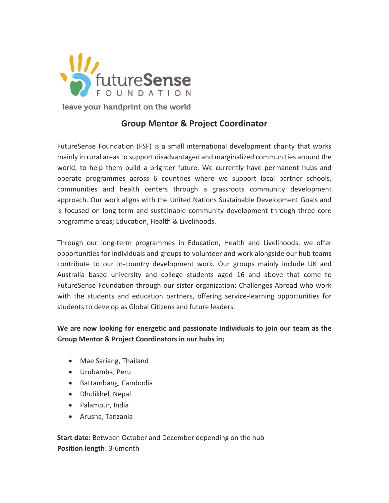

# **Group Mentor & Project Coordinator**

FutureSense Foundation (FSF) is a small international development charity that works mainly in rural areas to support disadvantaged and marginalized communities around the world, to help them build a brighter future. We currently have permanent hubs and operate programmes across 6 countries where we support local partner schools, communities and health centers through a grassroots community development approach. Our work aligns with the United Nations Sustainable Development Goals and is focused on long-term and sustainable community development through three core programme areas; Education, Health & Livelihoods.

Through our long-term programmes in Education, Health and Livelihoods, we offer opportunities for individuals and groups to volunteer and work alongside our hub teams contribute to our in-country development work. Our groups mainly include UK and Australia based university and college students aged 16 and above that come to FutureSense Foundation through our sister organization; Challenges Abroad who work with the students and education partners, offering service-learning opportunities for students to develop as Global Citizens and future leaders.

**We are now looking for energetic and passionate individuals to join our team as the Group Mentor & Project Coordinators in our hubs in;**

- Mae Sariang, Thailand
- Urubamba, Peru
- Battambang, Cambodia
- Dhulikhel, Nepal
- Palampur, India
- Arusha, Tanzania

**Start date:** Between October and December depending on the hub **Position length**: 3-6month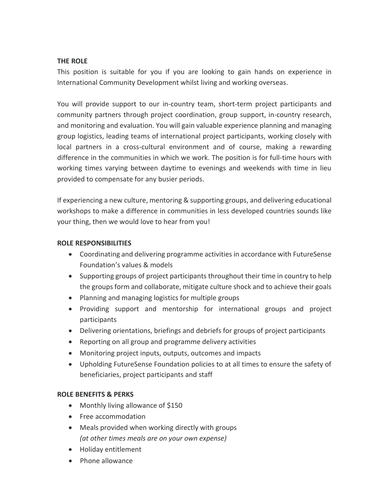## **THE ROLE**

This position is suitable for you if you are looking to gain hands on experience in International Community Development whilst living and working overseas.

You will provide support to our in-country team, short-term project participants and community partners through project coordination, group support, in-country research, and monitoring and evaluation. You will gain valuable experience planning and managing group logistics, leading teams of international project participants, working closely with local partners in a cross-cultural environment and of course, making a rewarding difference in the communities in which we work. The position is for full-time hours with working times varying between daytime to evenings and weekends with time in lieu provided to compensate for any busier periods.

If experiencing a new culture, mentoring & supporting groups, and delivering educational workshops to make a difference in communities in less developed countries sounds like your thing, then we would love to hear from you!

#### **ROLE RESPONSIBILITIES**

- Coordinating and delivering programme activities in accordance with FutureSense Foundation's values & models
- Supporting groups of project participants throughout their time in country to help the groups form and collaborate, mitigate culture shock and to achieve their goals
- Planning and managing logistics for multiple groups
- Providing support and mentorship for international groups and project participants
- Delivering orientations, briefings and debriefs for groups of project participants
- Reporting on all group and programme delivery activities
- Monitoring project inputs, outputs, outcomes and impacts
- Upholding FutureSense Foundation policies to at all times to ensure the safety of beneficiaries, project participants and staff

# **ROLE BENEFITS & PERKS**

- Monthly living allowance of \$150
- Free accommodation
- Meals provided when working directly with groups *(at other times meals are on your own expense)*
- Holiday entitlement
- Phone allowance